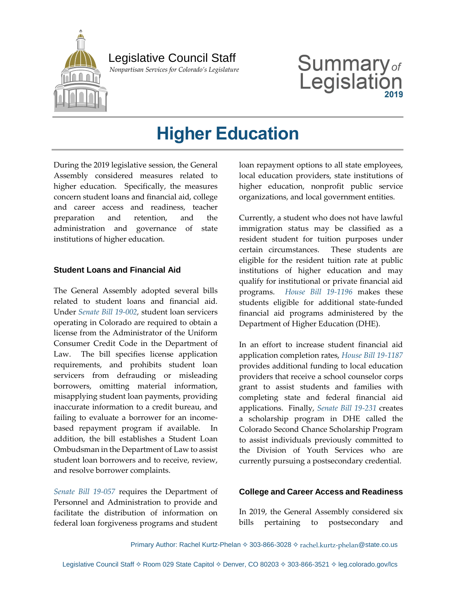

## Legislative Council Staff

 *Nonpartisan Services for Colorado's Legislature*

# Summary<sub>of</sub> Legislation

## **Higher Education**

During the 2019 legislative session, the General Assembly considered measures related to higher education. Specifically, the measures concern student loans and financial aid, college and career access and readiness, teacher preparation and retention, and the administration and governance of state institutions of higher education.

#### **Student Loans and Financial Aid**

The General Assembly adopted several bills related to student loans and financial aid. Under *Senate Bill 19-002,* student loan servicers operating in Colorado are required to obtain a license from the Administrator of the Uniform Consumer Credit Code in the Department of Law. The bill specifies license application requirements, and prohibits student loan servicers from defrauding or misleading borrowers, omitting material information, misapplying student loan payments, providing inaccurate information to a credit bureau, and failing to evaluate a borrower for an incomebased repayment program if available. In addition, the bill establishes a Student Loan Ombudsman in the Department of Law to assist student loan borrowers and to receive, review, and resolve borrower complaints.

*Senate Bill 19-057* requires the Department of Personnel and Administration to provide and facilitate the distribution of information on federal loan forgiveness programs and student

loan repayment options to all state employees, local education providers, state institutions of higher education, nonprofit public service organizations, and local government entities.

Currently, a student who does not have lawful immigration status may be classified as a resident student for tuition purposes under certain circumstances. These students are eligible for the resident tuition rate at public institutions of higher education and may qualify for institutional or private financial aid programs. *House Bill 19-1196* makes these students eligible for additional state-funded financial aid programs administered by the Department of Higher Education (DHE).

In an effort to increase student financial aid application completion rates, *House Bill 19-1187* provides additional funding to local education providers that receive a school counselor corps grant to assist students and families with completing state and federal financial aid applications. Finally, *Senate Bill 19-231* creates a scholarship program in DHE called the Colorado Second Chance Scholarship Program to assist individuals previously committed to the Division of Youth Services who are currently pursuing a postsecondary credential.

#### **College and Career Access and Readiness**

In 2019, the General Assembly considered six bills pertaining to postsecondary and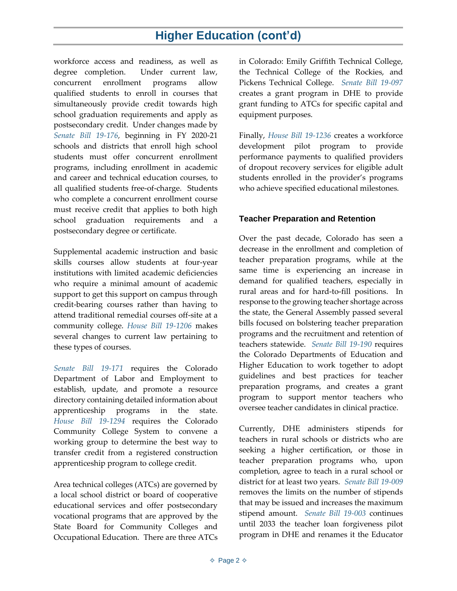### **Higher Education (cont'd)**

workforce access and readiness, as well as degree completion. Under current law, concurrent enrollment programs allow qualified students to enroll in courses that simultaneously provide credit towards high school graduation requirements and apply as postsecondary credit. Under changes made by *Senate Bill 19-176,* beginning in FY 2020-21 schools and districts that enroll high school students must offer concurrent enrollment programs, including enrollment in academic and career and technical education courses, to all qualified students free-of-charge. Students who complete a concurrent enrollment course must receive credit that applies to both high school graduation requirements and a postsecondary degree or certificate.

Supplemental academic instruction and basic skills courses allow students at four-year institutions with limited academic deficiencies who require a minimal amount of academic support to get this support on campus through credit-bearing courses rather than having to attend traditional remedial courses off-site at a community college. *House Bill 19-1206* makes several changes to current law pertaining to these types of courses.

*Senate Bill 19-171* requires the Colorado Department of Labor and Employment to establish, update, and promote a resource directory containing detailed information about apprenticeship programs in the state. *House Bill 19-1294* requires the Colorado Community College System to convene a working group to determine the best way to transfer credit from a registered construction apprenticeship program to college credit.

Area technical colleges (ATCs) are governed by a local school district or board of cooperative educational services and offer postsecondary vocational programs that are approved by the State Board for Community Colleges and Occupational Education. There are three ATCs

in Colorado: Emily Griffith Technical College, the Technical College of the Rockies, and Pickens Technical College. *Senate Bill 19-097* creates a grant program in DHE to provide grant funding to ATCs for specific capital and equipment purposes.

Finally, *House Bill 19-1236* creates a workforce development pilot program to provide performance payments to qualified providers of dropout recovery services for eligible adult students enrolled in the provider's programs who achieve specified educational milestones.

#### **Teacher Preparation and Retention**

Over the past decade, Colorado has seen a decrease in the enrollment and completion of teacher preparation programs, while at the same time is experiencing an increase in demand for qualified teachers, especially in rural areas and for hard-to-fill positions. In response to the growing teacher shortage across the state, the General Assembly passed several bills focused on bolstering teacher preparation programs and the recruitment and retention of teachers statewide. *Senate Bill 19-190* requires the Colorado Departments of Education and Higher Education to work together to adopt guidelines and best practices for teacher preparation programs, and creates a grant program to support mentor teachers who oversee teacher candidates in clinical practice.

Currently, DHE administers stipends for teachers in rural schools or districts who are seeking a higher certification, or those in teacher preparation programs who, upon completion, agree to teach in a rural school or district for at least two years. *Senate Bill 19-009* removes the limits on the number of stipends that may be issued and increases the maximum stipend amount. *Senate Bill 19-003* continues until 2033 the teacher loan forgiveness pilot program in DHE and renames it the Educator